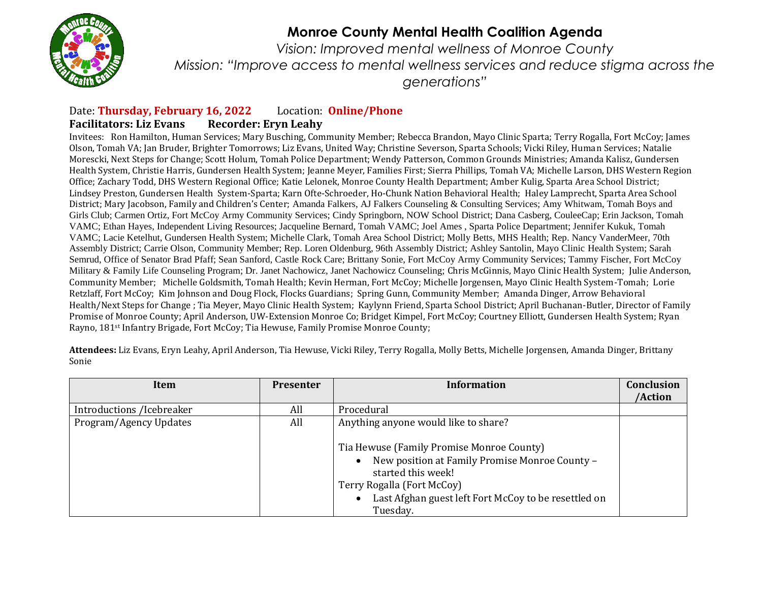

## **Monroe County Mental Health Coalition Agenda**

*Vision: Improved mental wellness of Monroe County Mission: "Improve access to mental wellness services and reduce stigma across the generations"*

## Date: **Thursday, February 16, 2022** Location: **Online/Phone Facilitators: Liz Evans Recorder: Eryn Leahy**

Invitees: Ron Hamilton, Human Services; Mary Busching, Community Member; Rebecca Brandon, Mayo Clinic Sparta; Terry Rogalla, Fort McCoy; James Olson, Tomah VA; Jan Bruder, Brighter Tomorrows; Liz Evans, United Way; Christine Severson, Sparta Schools; Vicki Riley, Human Services; Natalie Morescki, Next Steps for Change; Scott Holum, Tomah Police Department; Wendy Patterson, Common Grounds Ministries; Amanda Kalisz, Gundersen Health System, Christie Harris, Gundersen Health System; Jeanne Meyer, Families First; Sierra Phillips, Tomah VA; Michelle Larson, DHS Western Region Office; Zachary Todd, DHS Western Regional Office; Katie Lelonek, Monroe County Health Department; Amber Kulig, Sparta Area School District; Lindsey Preston, Gundersen Health System-Sparta; Karn Ofte-Schroeder, Ho-Chunk Nation Behavioral Health; Haley Lamprecht, Sparta Area School District; Mary Jacobson, Family and Children's Center; Amanda Falkers, AJ Falkers Counseling & Consulting Services; Amy Whitwam, Tomah Boys and Girls Club; Carmen Ortiz, Fort McCoy Army Community Services; Cindy Springborn, NOW School District; Dana Casberg, CouleeCap; Erin Jackson, Tomah VAMC; Ethan Hayes, Independent Living Resources; Jacqueline Bernard, Tomah VAMC; Joel Ames , Sparta Police Department; Jennifer Kukuk, Tomah VAMC; Lacie Ketelhut, Gundersen Health System; Michelle Clark, Tomah Area School District; Molly Betts, MHS Health; Rep. Nancy VanderMeer, 70th Assembly District; Carrie Olson, Community Member; Rep. Loren Oldenburg, 96th Assembly District; Ashley Santolin, Mayo Clinic Health System; Sarah Semrud, Office of Senator Brad Pfaff; Sean Sanford, Castle Rock Care; Brittany Sonie, Fort McCoy Army Community Services; Tammy Fischer, Fort McCoy Military & Family Life Counseling Program; Dr. Janet Nachowicz, Janet Nachowicz Counseling; Chris McGinnis, Mayo Clinic Health System; Julie Anderson, Community Member; Michelle Goldsmith, Tomah Health; Kevin Herman, Fort McCoy; Michelle Jorgensen, Mayo Clinic Health System-Tomah; Lorie Retzlaff, Fort McCoy; Kim Johnson and Doug Flock, Flocks Guardians; Spring Gunn, Community Member; Amanda Dinger, Arrow Behavioral Health/Next Steps for Change ; Tia Meyer, Mayo Clinic Health System; Kaylynn Friend, Sparta School District; April Buchanan-Butler, Director of Family Promise of Monroe County; April Anderson, UW-Extension Monroe Co; Bridget Kimpel, Fort McCoy; Courtney Elliott, Gundersen Health System; Ryan Rayno, 181st Infantry Brigade, Fort McCoy; Tia Hewuse, Family Promise Monroe County;

**Attendees:** Liz Evans, Eryn Leahy, April Anderson, Tia Hewuse, Vicki Riley, Terry Rogalla, Molly Betts, Michelle Jorgensen, Amanda Dinger, Brittany Sonie

| Item                      | <b>Presenter</b> | <b>Information</b>                                                                                                                                                                                                  | Conclusion |
|---------------------------|------------------|---------------------------------------------------------------------------------------------------------------------------------------------------------------------------------------------------------------------|------------|
|                           |                  |                                                                                                                                                                                                                     | /Action    |
| Introductions /Icebreaker | All              | Procedural                                                                                                                                                                                                          |            |
| Program/Agency Updates    | All              | Anything anyone would like to share?                                                                                                                                                                                |            |
|                           |                  | Tia Hewuse (Family Promise Monroe County)<br>New position at Family Promise Monroe County -<br>started this week!<br>Terry Rogalla (Fort McCoy)<br>Last Afghan guest left Fort McCoy to be resettled on<br>Tuesday. |            |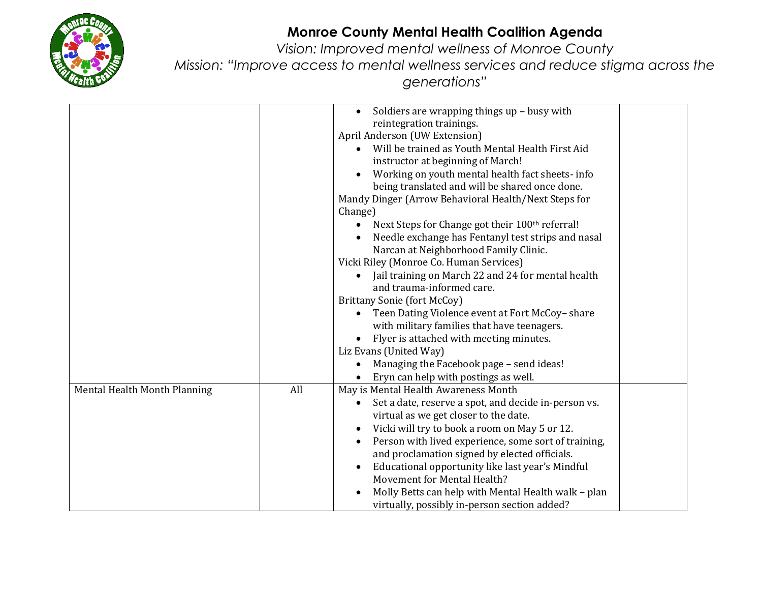

## **Monroe County Mental Health Coalition Agenda**

*Vision: Improved mental wellness of Monroe County Mission: "Improve access to mental wellness services and reduce stigma across the generations"*

|                              |     | Soldiers are wrapping things up - busy with<br>$\bullet$          |  |
|------------------------------|-----|-------------------------------------------------------------------|--|
|                              |     | reintegration trainings.                                          |  |
|                              |     | April Anderson (UW Extension)                                     |  |
|                              |     | Will be trained as Youth Mental Health First Aid                  |  |
|                              |     | instructor at beginning of March!                                 |  |
|                              |     | Working on youth mental health fact sheets- info<br>$\bullet$     |  |
|                              |     | being translated and will be shared once done.                    |  |
|                              |     | Mandy Dinger (Arrow Behavioral Health/Next Steps for              |  |
|                              |     | Change)                                                           |  |
|                              |     | Next Steps for Change got their 100th referral!                   |  |
|                              |     | Needle exchange has Fentanyl test strips and nasal                |  |
|                              |     | Narcan at Neighborhood Family Clinic.                             |  |
|                              |     | Vicki Riley (Monroe Co. Human Services)                           |  |
|                              |     | Jail training on March 22 and 24 for mental health                |  |
|                              |     | and trauma-informed care.                                         |  |
|                              |     | <b>Brittany Sonie (fort McCoy)</b>                                |  |
|                              |     | Teen Dating Violence event at Fort McCoy-share                    |  |
|                              |     | with military families that have teenagers.                       |  |
|                              |     | Flyer is attached with meeting minutes.                           |  |
|                              |     | Liz Evans (United Way)                                            |  |
|                              |     | Managing the Facebook page - send ideas!                          |  |
|                              |     | Eryn can help with postings as well.                              |  |
| Mental Health Month Planning | All | May is Mental Health Awareness Month                              |  |
|                              |     | Set a date, reserve a spot, and decide in-person vs.              |  |
|                              |     | virtual as we get closer to the date.                             |  |
|                              |     | Vicki will try to book a room on May 5 or 12.<br>$\bullet$        |  |
|                              |     | Person with lived experience, some sort of training,<br>$\bullet$ |  |
|                              |     | and proclamation signed by elected officials.                     |  |
|                              |     | Educational opportunity like last year's Mindful<br>$\bullet$     |  |
|                              |     | Movement for Mental Health?                                       |  |
|                              |     | Molly Betts can help with Mental Health walk - plan               |  |
|                              |     | virtually, possibly in-person section added?                      |  |